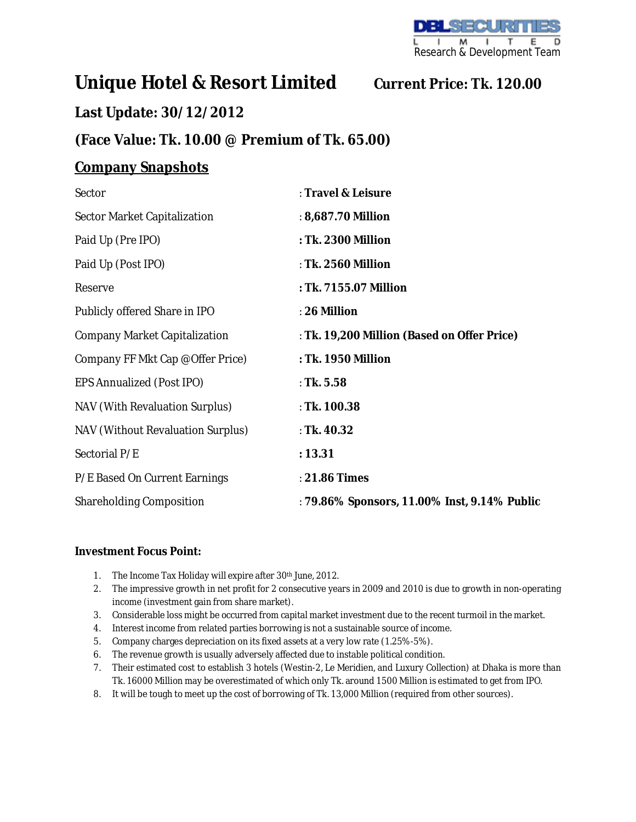# **Unique Hotel & Resort Limited Current Price: Tk. 120.00**

## **Last Update: 30/12/2012**

## **(Face Value: Tk. 10.00 @ Premium of Tk. 65.00)**

## **Company Snapshots**

| Sector                            | : Travel & Leisure                           |
|-----------------------------------|----------------------------------------------|
| Sector Market Capitalization      | : 8,687.70 Million                           |
| Paid Up (Pre IPO)                 | : Tk. 2300 Million                           |
| Paid Up (Post IPO)                | : Tk. 2560 Million                           |
| Reserve                           | : Tk. 7155.07 Million                        |
| Publicly offered Share in IPO     | : 26 Million                                 |
| Company Market Capitalization     | : Tk. 19,200 Million (Based on Offer Price)  |
| Company FF Mkt Cap @Offer Price)  | : Tk. 1950 Million                           |
| EPS Annualized (Post IPO)         | : Tk. $5.58$                                 |
| NAV (With Revaluation Surplus)    | : Tk. 100.38                                 |
| NAV (Without Revaluation Surplus) | : Tk. 40.32                                  |
| Sectorial P/E                     | : 13.31                                      |
| P/E Based On Current Earnings     | : 21.86 Times                                |
| Shareholding Composition          | : 79.86% Sponsors, 11.00% Inst, 9.14% Public |

## **Investment Focus Point:**

- 1. The Income Tax Holiday will expire after 30th June, 2012.
- 2. The impressive growth in net profit for 2 consecutive years in 2009 and 2010 is due to growth in non-operating income (investment gain from share market).
- 3. Considerable loss might be occurred from capital market investment due to the recent turmoil in the market.
- 4. Interest income from related parties borrowing is not a sustainable source of income.
- 5. Company charges depreciation on its fixed assets at a very low rate (1.25%-5%).
- 6. The revenue growth is usually adversely affected due to instable political condition.
- 7. Their estimated cost to establish 3 hotels (Westin-2, Le Meridien, and Luxury Collection) at Dhaka is more than Tk. 16000 Million may be overestimated of which only Tk. around 1500 Million is estimated to get from IPO.
- 8. It will be tough to meet up the cost of borrowing of Tk. 13,000 Million (required from other sources).